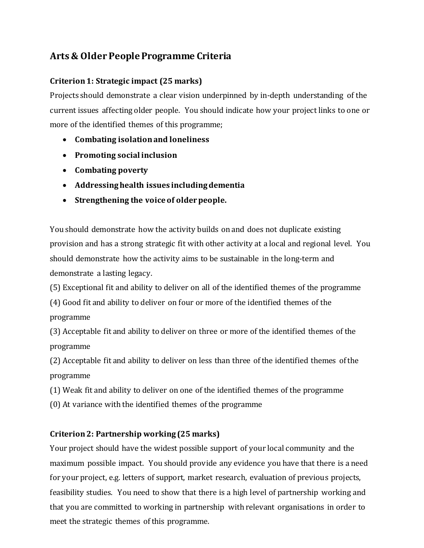# **Arts & Older People Programme Criteria**

### **Criterion 1: Strategic impact (25 marks)**

Projects should demonstrate a clear vision underpinned by in-depth understanding of the current issues affecting older people. You should indicate how your project links to one or more of the identified themes of this programme;

- **Combating isolation and loneliness**
- **Promoting social inclusion**
- **Combating poverty**
- **Addressing health issues including dementia**
- **Strengthening the voice of older people.**

You should demonstrate how the activity builds on and does not duplicate existing provision and has a strong strategic fit with other activity at a local and regional level. You should demonstrate how the activity aims to be sustainable in the long-term and demonstrate a lasting legacy.

(5) Exceptional fit and ability to deliver on all of the identified themes of the programme

(4) Good fit and ability to deliver on four or more of the identified themes of the programme

(3) Acceptable fit and ability to deliver on three or more of the identified themes of the programme

(2) Acceptable fit and ability to deliver on less than three of the identified themes of the programme

(1) Weak fit and ability to deliver on one of the identified themes of the programme

(0) At variance with the identified themes of the programme

### **Criterion 2: Partnership working (25 marks)**

Your project should have the widest possible support of your local community and the maximum possible impact. You should provide any evidence you have that there is a need for your project, e.g. letters of support, market research, evaluation of previous projects, feasibility studies. You need to show that there is a high level of partnership working and that you are committed to working in partnership with relevant organisations in order to meet the strategic themes of this programme.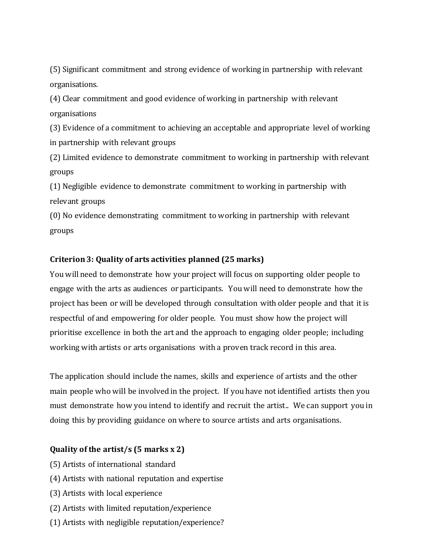(5) Significant commitment and strong evidence of working in partnership with relevant organisations.

(4) Clear commitment and good evidence of working in partnership with relevant organisations

(3) Evidence of a commitment to achieving an acceptable and appropriate level of working in partnership with relevant groups

(2) Limited evidence to demonstrate commitment to working in partnership with relevant groups

(1) Negligible evidence to demonstrate commitment to working in partnership with relevant groups

(0) No evidence demonstrating commitment to working in partnership with relevant groups

#### **Criterion 3: Quality of arts activities planned (25 marks)**

You will need to demonstrate how your project will focus on supporting older people to engage with the arts as audiences or participants. You will need to demonstrate how the project has been or will be developed through consultation with older people and that it is respectful of and empowering for older people. You must show how the project will prioritise excellence in both the art and the approach to engaging older people; including working with artists or arts organisations with a proven track record in this area.

The application should include the names, skills and experience of artists and the other main people who will be involved in the project. If you have not identified artists then you must demonstrate how you intend to identify and recruit the artist.. We can support you in doing this by providing guidance on where to source artists and arts organisations.

#### **Quality of the artist/s (5 marks x 2)**

- (5) Artists of international standard
- (4) Artists with national reputation and expertise
- (3) Artists with local experience
- (2) Artists with limited reputation/experience
- (1) Artists with negligible reputation/experience?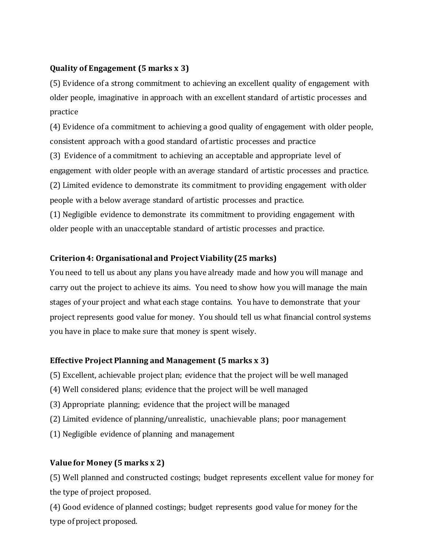### **Quality of Engagement (5 marks x 3)**

(5) Evidence of a strong commitment to achieving an excellent quality of engagement with older people, imaginative in approach with an excellent standard of artistic processes and practice

(4) Evidence of a commitment to achieving a good quality of engagement with older people, consistent approach with a good standard of artistic processes and practice (3) Evidence of a commitment to achieving an acceptable and appropriate level of engagement with older people with an average standard of artistic processes and practice. (2) Limited evidence to demonstrate its commitment to providing engagement with older people with a below average standard of artistic processes and practice. (1) Negligible evidence to demonstrate its commitment to providing engagement with

older people with an unacceptable standard of artistic processes and practice.

### **Criterion 4: Organisational and Project Viability (25 marks)**

You need to tell us about any plans you have already made and how you will manage and carry out the project to achieve its aims. You need to show how you will manage the main stages of your project and what each stage contains. You have to demonstrate that your project represents good value for money. You should tell us what financial control systems you have in place to make sure that money is spent wisely.

## **Effective Project Planning and Management (5 marks x 3)**

(5) Excellent, achievable project plan; evidence that the project will be well managed

- (4) Well considered plans; evidence that the project will be well managed
- (3) Appropriate planning; evidence that the project will be managed
- (2) Limited evidence of planning/unrealistic, unachievable plans; poor management
- (1) Negligible evidence of planning and management

# **Value for Money (5 marks x 2)**

(5) Well planned and constructed costings; budget represents excellent value for money for the type of project proposed.

(4) Good evidence of planned costings; budget represents good value for money for the type of project proposed.